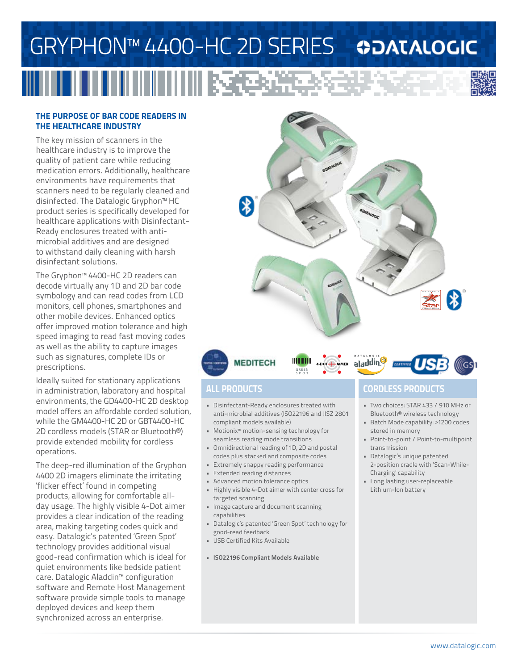### GRYPHON™ 4400-HC 2D SERIES **ODATALOGIC** III NGA

#### **THE PURPOSE OF BAR CODE READERS IN THE HEALTHCARE INDUSTRY**

The key mission of scanners in the healthcare industry is to improve the quality of patient care while reducing medication errors. Additionally, healthcare environments have requirements that scanners need to be regularly cleaned and disinfected. The Datalogic Gryphon™ HC product series is specifically developed for healthcare applications with Disinfectant-Ready enclosures treated with antimicrobial additives and are designed to withstand daily cleaning with harsh disinfectant solutions.

The Gryphon™ 4400-HC 2D readers can decode virtually any 1D and 2D bar code symbology and can read codes from LCD monitors, cell phones, smartphones and other mobile devices. Enhanced optics offer improved motion tolerance and high speed imaging to read fast moving codes as well as the ability to capture images such as signatures, complete IDs or prescriptions.

Ideally suited for stationary applications in administration, laboratory and hospital environments, the GD4400-HC 2D desktop model offers an affordable corded solution, while the GM4400-HC 2D or GBT4400-HC 2D cordless models (STAR or Bluetooth®) provide extended mobility for cordless operations.

The deep-red illumination of the Gryphon 4400 2D imagers eliminate the irritating 'flicker effect' found in competing products, allowing for comfortable allday usage. The highly visible 4-Dot aimer provides a clear indication of the reading area, making targeting codes quick and easy. Datalogic's patented 'Green Spot' technology provides additional visual good-read confirmation which is ideal for quiet environments like bedside patient care. Datalogic Aladdin™ configuration software and Remote Host Management software provide simple tools to manage deployed devices and keep them synchronized across an enterprise.



**MEDITECH** 

#### GREEN SPOT

### 4-DOT + AIMER alardding

## ((((GST

- Disinfectant-Ready enclosures treated with anti-microbial additives (ISO22196 and JISZ 2801 compliant models available)
- Motionix™ motion-sensing technology for seamless reading mode transitions
- Omnidirectional reading of 1D, 2D and postal codes plus stacked and composite codes
- Extremely snappy reading performance
- Extended reading distances
- Advanced motion tolerance optics
- Highly visible 4-Dot aimer with center cross for targeted scanning
- Image capture and document scanning capabilities
- Datalogic's patented 'Green Spot' technology for good-read feedback
- USB Certified Kits Available
- **• ISO22196 Compliant Models Available**

#### **ALL PRODUCTS CORDLESS PRODUCTS**

- Two choices: STAR 433 / 910 MHz or Bluetooth® wireless technology
- Batch Mode capability: >1200 codes stored in memory
- Point-to-point / Point-to-multipoint transmission
- Datalogic's unique patented 2-position cradle with 'Scan-While-Charging' capability
- Long lasting user-replaceable Lithium-Ion battery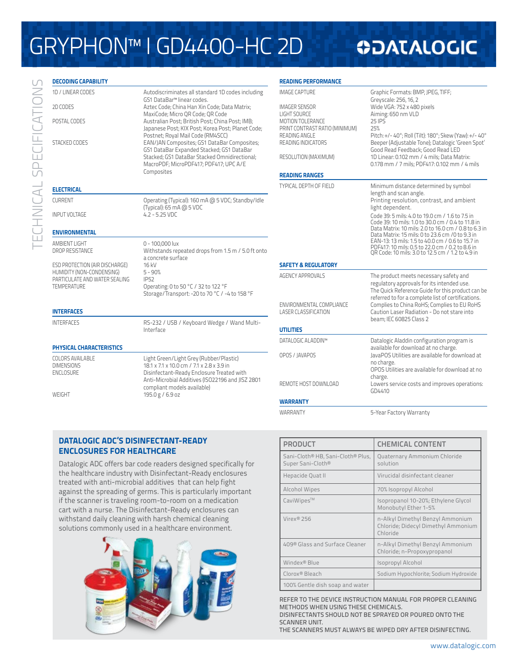# GRYPHON™ I GD4400-HC 2D

## **ODATALOGIC**

| <b>DECODING CAPABILITY</b>                                                                   |                                                                                                                                                                                                                                                                                                                                                                                                                                                                                                                                   | <b>READING PERFORMANCE</b>                                                                                                                                                                                        |                                                                                                                                                                                                                                                                                                                                                                                         |
|----------------------------------------------------------------------------------------------|-----------------------------------------------------------------------------------------------------------------------------------------------------------------------------------------------------------------------------------------------------------------------------------------------------------------------------------------------------------------------------------------------------------------------------------------------------------------------------------------------------------------------------------|-------------------------------------------------------------------------------------------------------------------------------------------------------------------------------------------------------------------|-----------------------------------------------------------------------------------------------------------------------------------------------------------------------------------------------------------------------------------------------------------------------------------------------------------------------------------------------------------------------------------------|
| 1D / LINEAR CODES<br>2D CODES<br>POSTAL CODES<br><b>STACKED CODES</b>                        | Autodiscriminates all standard 1D codes including<br>GS1 DataBar <sup>™</sup> linear codes.<br>Aztec Code: China Han Xin Code: Data Matrix:<br>MaxiCode; Micro QR Code; QR Code<br>Australian Post; British Post; China Post; IMB;<br>Japanese Post; KIX Post; Korea Post; Planet Code;<br>Postnet; Royal Mail Code (RM4SCC)<br>EAN/JAN Composites; GS1 DataBar Composites;<br>GS1 DataBar Expanded Stacked; GS1 DataBar<br>Stacked; GS1 DataBar Stacked Omnidirectional;<br>MacroPDF; MicroPDF417; PDF417; UPC A/E<br>Composites | <b>IMAGE CAPTURE</b><br><b>IMAGER SENSOR</b><br><b>LIGHT SOURCE</b><br>MOTION TOLERANCE<br>PRINT CONTRAST RATIO (MINIMUM)<br>READING ANGLE<br>READING INDICATORS<br>RESOLUTION (MAXIMUM)<br><b>READING RANGES</b> | Graphic Formats: BMP, JPEG, TIFF;<br>Greyscale: 256, 16, 2<br>Wide VGA: 752 x 480 pixels<br>Aiming: 650 nm VLD<br><b>25 IPS</b><br>25%<br>Pitch: +/- 40°; Roll (Tilt): 180°; Skew (Yaw): +/- 40°<br>Beeper (Adjustable Tone); Datalogic 'Green Spot'<br>Good Read Feedback: Good Read LED<br>1D Linear: 0.102 mm / 4 mils; Data Matrix:<br>0.178 mm / 7 mils; PDF417: 0.102 mm / 4 mils |
| <b>ELECTRICAL</b>                                                                            |                                                                                                                                                                                                                                                                                                                                                                                                                                                                                                                                   | <b>TYPICAL DEPTH OF FIELD</b>                                                                                                                                                                                     | Minimum distance determined by symbol<br>length and scan angle.                                                                                                                                                                                                                                                                                                                         |
| <b>CURRENT</b><br><b>INPUT VOLTAGE</b>                                                       | Operating (Typical): 160 mA @ 5 VDC; Standby/Idle<br>(Typical): 65 mA @ 5 VDC<br>$4.2 - 5.25$ VDC                                                                                                                                                                                                                                                                                                                                                                                                                                 |                                                                                                                                                                                                                   | Printing resolution, contrast, and ambient<br>light dependent.<br>Code 39: 5 mils: 4.0 to 19.0 cm / 1.6 to 7.5 in<br>Code 39: 10 mils: 1.0 to 30.0 cm / 0.4 to 11.8 in                                                                                                                                                                                                                  |
| <b>ENVIRONMENTAL</b>                                                                         |                                                                                                                                                                                                                                                                                                                                                                                                                                                                                                                                   |                                                                                                                                                                                                                   | Data Matrix: 10 mils: 2.0 to 16.0 cm / 0.8 to 6.3 in<br>Data Matrix: 15 mils: 0 to 23.6 cm /0 to 9.3 in                                                                                                                                                                                                                                                                                 |
| <b>AMBIENT LIGHT</b><br><b>DROP RESISTANCE</b>                                               | 0 - 100.000 lux<br>Withstands repeated drops from 1.5 m / 5.0 ft onto<br>a concrete surface                                                                                                                                                                                                                                                                                                                                                                                                                                       |                                                                                                                                                                                                                   | EAN-13: 13 mils: 1.5 to 40.0 cm / 0.6 to 15.7 in<br>PDF417: 10 mils: 0.5 to 22.0 cm / 0.2 to 8.6 in<br>QR Code: 10 mils: 3.0 to 12.5 cm / 1.2 to 4.9 in                                                                                                                                                                                                                                 |
| ESD PROTECTION (AIR DISCHARGE)                                                               | 16 kV                                                                                                                                                                                                                                                                                                                                                                                                                                                                                                                             | <b>SAFETY &amp; REGULATORY</b>                                                                                                                                                                                    |                                                                                                                                                                                                                                                                                                                                                                                         |
| HUMIDITY (NON-CONDENSING)<br>PARTICULATE AND WATER SEALING<br><b>TEMPERATURE</b>             | $5 - 90%$<br><b>IP52</b><br>Operating: 0 to 50 °C / 32 to 122 °F<br>Storage/Transport: -20 to 70 °C / -4 to 158 °F                                                                                                                                                                                                                                                                                                                                                                                                                | <b>AGENCY APPROVALS</b>                                                                                                                                                                                           | The product meets necessary safety and<br>regulatory approvals for its intended use.<br>The Quick Reference Guide for this product can be<br>referred to for a complete list of certifications.                                                                                                                                                                                         |
| <b>INTERFACES</b>                                                                            |                                                                                                                                                                                                                                                                                                                                                                                                                                                                                                                                   | ENVIRONMENTAL COMPLIANCE<br><b>LASER CLASSIFICATION</b>                                                                                                                                                           | Complies to China RoHS; Complies to EU RoHS<br>Caution Laser Radiation - Do not stare into<br>beam: IEC 60825 Class 2                                                                                                                                                                                                                                                                   |
| <b>INTERFACES</b>                                                                            | RS-232 / USB / Keyboard Wedge / Wand Multi-<br>Interface                                                                                                                                                                                                                                                                                                                                                                                                                                                                          | <b>UTILITIES</b>                                                                                                                                                                                                  |                                                                                                                                                                                                                                                                                                                                                                                         |
|                                                                                              |                                                                                                                                                                                                                                                                                                                                                                                                                                                                                                                                   | DATALOGIC ALADDIN™                                                                                                                                                                                                | Datalogic Aladdin configuration program is                                                                                                                                                                                                                                                                                                                                              |
| PHYSICAL CHARACTERISTICS<br><b>COLORS AVAILABLE</b><br><b>DIMENSIONS</b><br><b>ENCLOSURE</b> | Light Green/Light Grey (Rubber/Plastic)<br>18.1 x 7.1 x 10.0 cm / 7.1 x 2.8 x 3.9 in<br>Disinfectant-Ready Enclosure Treated with                                                                                                                                                                                                                                                                                                                                                                                                 | OPOS / JAVAPOS                                                                                                                                                                                                    | available for download at no charge.<br>JavaPOS Utilities are available for download at<br>no charge.<br>OPOS Utilities are available for download at no                                                                                                                                                                                                                                |
| WEIGHT                                                                                       | Anti-Microbial Additives (ISO22196 and JISZ 2801<br>compliant models available)<br>195.0 g / 6.9 oz                                                                                                                                                                                                                                                                                                                                                                                                                               | REMOTE HOST DOWNLOAD                                                                                                                                                                                              | charge.<br>Lowers service costs and improves operations:<br>GD4410                                                                                                                                                                                                                                                                                                                      |
|                                                                                              |                                                                                                                                                                                                                                                                                                                                                                                                                                                                                                                                   | <b>WARRANTY</b>                                                                                                                                                                                                   |                                                                                                                                                                                                                                                                                                                                                                                         |
|                                                                                              |                                                                                                                                                                                                                                                                                                                                                                                                                                                                                                                                   | WARRANTY                                                                                                                                                                                                          | 5-Year Factory Warranty                                                                                                                                                                                                                                                                                                                                                                 |

#### **DATALOGIC ADC'S DISINFECTANT-READY ENCLOSURES FOR HEALTHCARE**

Datalogic ADC offers bar code readers designed specifically for the healthcare industry with Disinfectant-Ready enclosures treated with anti-microbial additives that can help fight against the spreading of germs. This is particularly important if the scanner is traveling room-to-room on a medication cart with a nurse. The Disinfectant-Ready enclosures can withstand daily cleaning with harsh chemical cleaning solutions commonly used in a healthcare environment.



| <b>PRODUCT</b>                                         | <b>CHEMICAL CONTENT</b>                                                             |  |  |
|--------------------------------------------------------|-------------------------------------------------------------------------------------|--|--|
| Sani-Cloth® HB, Sani-Cloth® Plus,<br>Super Sani-Cloth® | Quaternary Ammonium Chloride<br>solution                                            |  |  |
| Hepacide Quat II                                       | Virucidal disinfectant cleaner                                                      |  |  |
| <b>Alcohol Wipes</b>                                   | 70% Isopropyl Alcohol                                                               |  |  |
| CaviWipes™                                             | Isopropanol 10-20%; Ethylene Glycol<br>Monobutyl Ether 1-5%                         |  |  |
| Virex® 256                                             | n-Alkyl Dimethyl Benzyl Ammonium<br>Chloride; Didecyl Dimethyl Ammonium<br>Chloride |  |  |
| 409® Glass and Surface Cleaner                         | n-Alkyl Dimethyl Benzyl Ammonium<br>Chloride; n-Propoxypropanol                     |  |  |
| Windex® Blue                                           | Isopropyl Alcohol                                                                   |  |  |
| Clorox® Bleach                                         | Sodium Hypochlorite; Sodium Hydroxide                                               |  |  |
| 100% Gentle dish soap and water                        |                                                                                     |  |  |

REFER TO THE DEVICE INSTRUCTION MANUAL FOR PROPER CLEANING METHODS WHEN USING THESE CHEMICALS. DISINFECTANTS SHOULD NOT BE SPRAYED OR POURED ONTO THE

SCANNER UNIT.

THE SCANNERS MUST ALWAYS BE WIPED DRY AFTER DISINFECTING.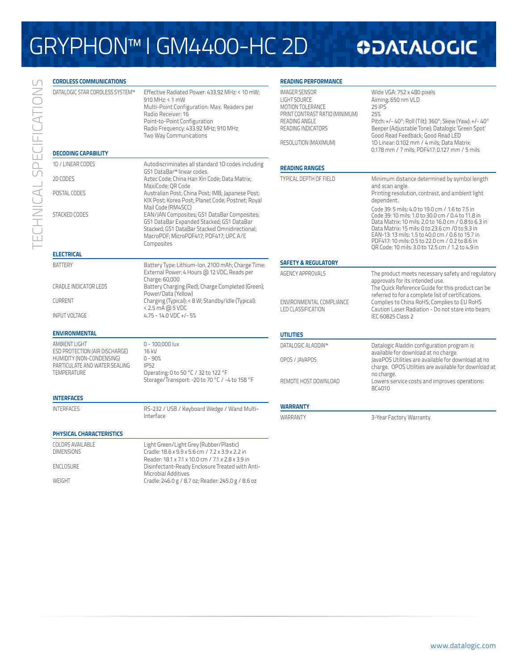# GRYPHON™ I GM4400-HC 2D

### **ODATALOGIC**

| <b>CORDLESS COMMUNICATIONS</b>                                                                                     |                                                                                                                                                                                                                         | <b>READING PERFORMANCE</b>                                                                                                        |                                                                                                                                                                                                                                                                                                                                                                            |
|--------------------------------------------------------------------------------------------------------------------|-------------------------------------------------------------------------------------------------------------------------------------------------------------------------------------------------------------------------|-----------------------------------------------------------------------------------------------------------------------------------|----------------------------------------------------------------------------------------------------------------------------------------------------------------------------------------------------------------------------------------------------------------------------------------------------------------------------------------------------------------------------|
| DATALOGIC STAR CORDLESS SYSTEM™                                                                                    | Effective Radiated Power: 433.92 MHz: < 10 mW;<br>910 MHz: < 1 mW<br>Multi-Point Configuration: Max. Readers per<br>Radio Receiver: 16<br>Point-to-Point Configuration<br>Radio Frequency: 433.92 MHz; 910 MHz          | <b>IMAGER SENSOR</b><br>LIGHT SOURCE<br>MOTION TOLERANCE<br>PRINT CONTRAST RATIO (MINIMUM)<br>READING ANGLE<br>READING INDICATORS | Wide VGA: 752 x 480 pixels<br>Aiming: 650 nm VLD<br><b>25 IPS</b><br>25%<br>Pitch: +/- 40°; Roll (Tilt): 360°; Skew (Yaw): +/- 40°<br>Beeper (Adjustable Tone); Datalogic 'Green Spot'                                                                                                                                                                                     |
|                                                                                                                    | Two Way Communications                                                                                                                                                                                                  | RESOLUTION (MAXIMUM)                                                                                                              | Good Read Feedback; Good Read LED<br>1D Linear: 0.102 mm / 4 mils: Data Matrix:                                                                                                                                                                                                                                                                                            |
| <b>DECODING CAPABILITY</b>                                                                                         |                                                                                                                                                                                                                         |                                                                                                                                   | 0.178 mm / 7 mils; PDF417: 0.127 mm / 5 mils                                                                                                                                                                                                                                                                                                                               |
| 1D / LINEAR CODES                                                                                                  | Autodiscriminates all standard 1D codes including<br>GS1 DataBar <sup>™</sup> linear codes.                                                                                                                             | <b>READING RANGES</b>                                                                                                             |                                                                                                                                                                                                                                                                                                                                                                            |
| 2D CODES                                                                                                           | Aztec Code; China Han Xin Code; Data Matrix;<br>MaxiCode; QR Code                                                                                                                                                       | <b>TYPICAL DEPTH OF FIELD</b>                                                                                                     | Minimum distance determined by symbol length<br>and scan angle.                                                                                                                                                                                                                                                                                                            |
| POSTAL CODES                                                                                                       | Australian Post; China Post; IMB; Japanese Post;<br>KIX Post; Korea Post; Planet Code; Postnet; Royal                                                                                                                   |                                                                                                                                   | Printing resolution, contrast, and ambient light<br>dependent.                                                                                                                                                                                                                                                                                                             |
| <b>STACKED CODES</b>                                                                                               | Mail Code (RM4SCC)<br>EAN/JAN Composites; GS1 DataBar Composites;<br>GS1 DataBar Expanded Stacked; GS1 DataBar<br>Stacked; GS1 DataBar Stacked Omnidirectional;<br>MacroPDF; MicroPDF417; PDF417; UPC A/E<br>Composites |                                                                                                                                   | Code 39: 5 mils: 4.0 to 19.0 cm / 1.6 to 7.5 in<br>Code 39: 10 mils: 1.0 to 30.0 cm / 0.4 to 11.8 in<br>Data Matrix: 10 mils: 2.0 to 16.0 cm / 0.8 to 6.3 in<br>Data Matrix: 15 mils: 0 to 23.6 cm /0 to 9.3 in<br>EAN-13: 13 mils: 1.5 to 40.0 cm / 0.6 to 15.7 in<br>PDF417: 10 mils: 0.5 to 22.0 cm / 0.2 to 8.6 in<br>QR Code: 10 mils: 3.0 to 12.5 cm / 1.2 to 4.9 in |
| <b>ELECTRICAL</b>                                                                                                  |                                                                                                                                                                                                                         |                                                                                                                                   |                                                                                                                                                                                                                                                                                                                                                                            |
| <b>BATTERY</b>                                                                                                     | Battery Type: Lithium-Ion, 2100 mAh; Charge Time:<br>External Power: 4 Hours @ 12 VDC; Reads per                                                                                                                        | <b>SAFETY &amp; REGULATORY</b><br><b>AGENCY APPROVALS</b>                                                                         | The product meets necessary safety and regulatory                                                                                                                                                                                                                                                                                                                          |
| CRADLE INDICATOR LEDS                                                                                              | Charge: 60,000<br>Battery Charging (Red); Charge Completed (Green);<br>Power/Data (Yellow)                                                                                                                              |                                                                                                                                   | approvals for its intended use.<br>The Quick Reference Guide for this product can be<br>referred to for a complete list of certifications.                                                                                                                                                                                                                                 |
| <b>CURRENT</b><br><b>INPUT VOLTAGE</b>                                                                             | Charging (Typical): < 8 W; Standby/Idle (Typical):<br>$< 2.5$ mA @ 5 VDC<br>$4.75 - 14.0$ VDC +/- 5%                                                                                                                    | ENVIRONMENTAL COMPLIANCE<br><b>LED CLASSIFICATION</b>                                                                             | Complies to China RoHS; Complies to EU RoHS<br>Caution Laser Radiation - Do not stare into beam;<br>IEC 60825 Class 2                                                                                                                                                                                                                                                      |
| <b>ENVIRONMENTAL</b>                                                                                               |                                                                                                                                                                                                                         | <b>UTILITIES</b>                                                                                                                  |                                                                                                                                                                                                                                                                                                                                                                            |
| AMBIENT LIGHT                                                                                                      | 0 - 100,000 lux                                                                                                                                                                                                         | DATALOGIC ALADDIN™                                                                                                                | Datalogic Aladdin configuration program is                                                                                                                                                                                                                                                                                                                                 |
| ESD PROTECTION (AIR DISCHARGE)<br>HUMIDITY (NON-CONDENSING)<br>PARTICULATE AND WATER SEALING<br><b>TEMPERATURE</b> | 16 kV<br>$0 - 90%$<br><b>IP52</b><br>Operating: 0 to 50 °C / 32 to 122 °F                                                                                                                                               | OPOS / JAVAPOS                                                                                                                    | available for download at no charge.<br>JavaPOS Utilities are available for download at no<br>charge. OPOS Utilities are available for download at                                                                                                                                                                                                                         |
|                                                                                                                    | Storage/Transport: -20 to 70 °C / -4 to 158 °F                                                                                                                                                                          | REMOTE HOST DOWNLOAD                                                                                                              | no charge.<br>Lowers service costs and improves operations:<br>BC4010                                                                                                                                                                                                                                                                                                      |
| <b>INTERFACES</b>                                                                                                  |                                                                                                                                                                                                                         |                                                                                                                                   |                                                                                                                                                                                                                                                                                                                                                                            |
| <b>INTERFACES</b>                                                                                                  | RS-232 / USB / Keyboard Wedge / Wand Multi-<br>Interface                                                                                                                                                                | <b>WARRANTY</b><br>WARRANTY                                                                                                       | 3-Year Factory Warranty                                                                                                                                                                                                                                                                                                                                                    |
| PHYSICAL CHARACTERISTICS                                                                                           |                                                                                                                                                                                                                         |                                                                                                                                   |                                                                                                                                                                                                                                                                                                                                                                            |
| <b>COLORS AVAILABLE</b>                                                                                            |                                                                                                                                                                                                                         |                                                                                                                                   |                                                                                                                                                                                                                                                                                                                                                                            |
| <b>DIMENSIONS</b>                                                                                                  | Light Green/Light Grey (Rubber/Plastic)<br>Cradle: 18.6 x 9.9 x 5.6 cm / 7.2 x 3.9 x 2.2 in<br>Reader: 18.1 x 7.1 x 10.0 cm / 7.1 x 2.8 x 3.9 in                                                                        |                                                                                                                                   |                                                                                                                                                                                                                                                                                                                                                                            |
| <b>ENCLOSURE</b>                                                                                                   | Disinfectant-Ready Enclosure Treated with Anti-<br><b>Microbial Additives</b>                                                                                                                                           |                                                                                                                                   |                                                                                                                                                                                                                                                                                                                                                                            |
| WEIGHT                                                                                                             | Cradle: 246.0 g / 8.7 oz; Reader: 245.0 g / 8.6 oz                                                                                                                                                                      |                                                                                                                                   |                                                                                                                                                                                                                                                                                                                                                                            |